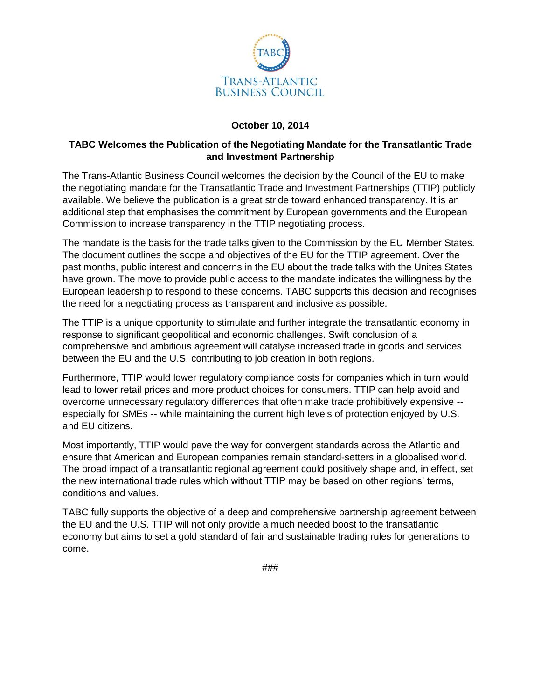

## **October 10, 2014**

## **TABC Welcomes the Publication of the Negotiating Mandate for the Transatlantic Trade and Investment Partnership**

The Trans-Atlantic Business Council welcomes the decision by the Council of the EU to make the negotiating mandate for the Transatlantic Trade and Investment Partnerships (TTIP) publicly available. We believe the publication is a great stride toward enhanced transparency. It is an additional step that emphasises the commitment by European governments and the European Commission to increase transparency in the TTIP negotiating process.

The mandate is the basis for the trade talks given to the Commission by the EU Member States. The document outlines the scope and objectives of the EU for the TTIP agreement. Over the past months, public interest and concerns in the EU about the trade talks with the Unites States have grown. The move to provide public access to the mandate indicates the willingness by the European leadership to respond to these concerns. TABC supports this decision and recognises the need for a negotiating process as transparent and inclusive as possible.

The TTIP is a unique opportunity to stimulate and further integrate the transatlantic economy in response to significant geopolitical and economic challenges. Swift conclusion of a comprehensive and ambitious agreement will catalyse increased trade in goods and services between the EU and the U.S. contributing to job creation in both regions.

Furthermore, TTIP would lower regulatory compliance costs for companies which in turn would lead to lower retail prices and more product choices for consumers. TTIP can help avoid and overcome unnecessary regulatory differences that often make trade prohibitively expensive - especially for SMEs -- while maintaining the current high levels of protection enjoyed by U.S. and EU citizens.

Most importantly, TTIP would pave the way for convergent standards across the Atlantic and ensure that American and European companies remain standard-setters in a globalised world. The broad impact of a transatlantic regional agreement could positively shape and, in effect, set the new international trade rules which without TTIP may be based on other regions' terms, conditions and values.

TABC fully supports the objective of a deep and comprehensive partnership agreement between the EU and the U.S. TTIP will not only provide a much needed boost to the transatlantic economy but aims to set a gold standard of fair and sustainable trading rules for generations to come.